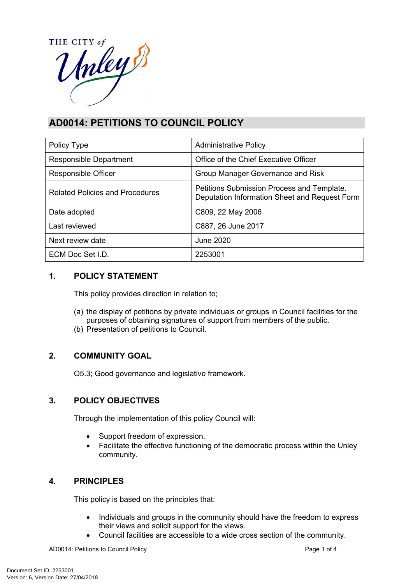HE CITY of THE CITY of

# **AD0014: PETITIONS TO COUNCIL POLICY**

| Policy Type                            | <b>Administrative Policy</b>                                                                |
|----------------------------------------|---------------------------------------------------------------------------------------------|
| <b>Responsible Department</b>          | Office of the Chief Executive Officer                                                       |
| Responsible Officer                    | Group Manager Governance and Risk                                                           |
| <b>Related Policies and Procedures</b> | Petitions Submission Process and Template.<br>Deputation Information Sheet and Request Form |
| Date adopted                           | C809, 22 May 2006                                                                           |
| Last reviewed                          | C887, 26 June 2017                                                                          |
| Next review date                       | June 2020                                                                                   |
| ECM Doc Set LD.                        | 2253001                                                                                     |

# **1. POLICY STATEMENT**

This policy provides direction in relation to;

- (a) the display of petitions by private individuals or groups in Council facilities for the purposes of obtaining signatures of support from members of the public.
- (b) Presentation of petitions to Council.

# **2. COMMUNITY GOAL**

O5.3; Good governance and legislative framework.

# **3. POLICY OBJECTIVES**

Through the implementation of this policy Council will:

- Support freedom of expression.
- Facilitate the effective functioning of the democratic process within the Unley community.

# **4. PRINCIPLES**

This policy is based on the principles that:

- Individuals and groups in the community should have the freedom to express their views and solicit support for the views.
- Council facilities are accessible to a wide cross section of the community.

AD0014: Petitions to Council Policy **Page 1 of 4** and 2000 Page 1 of 4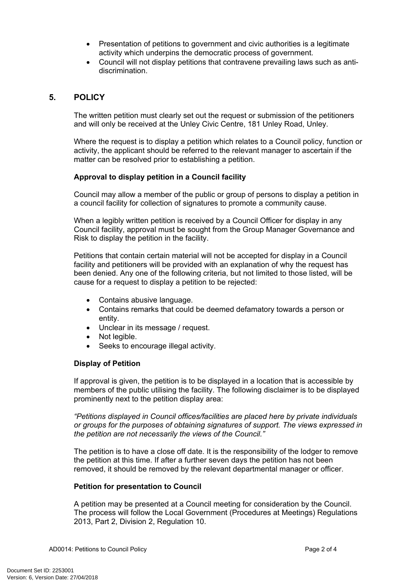- Presentation of petitions to government and civic authorities is a legitimate activity which underpins the democratic process of government.
- Council will not display petitions that contravene prevailing laws such as antidiscrimination.

### **5. POLICY**

The written petition must clearly set out the request or submission of the petitioners and will only be received at the Unley Civic Centre, 181 Unley Road, Unley.

Where the request is to display a petition which relates to a Council policy, function or activity, the applicant should be referred to the relevant manager to ascertain if the matter can be resolved prior to establishing a petition.

#### **Approval to display petition in a Council facility**

Council may allow a member of the public or group of persons to display a petition in a council facility for collection of signatures to promote a community cause.

When a legibly written petition is received by a Council Officer for display in any Council facility, approval must be sought from the Group Manager Governance and Risk to display the petition in the facility.

Petitions that contain certain material will not be accepted for display in a Council facility and petitioners will be provided with an explanation of why the request has been denied. Any one of the following criteria, but not limited to those listed, will be cause for a request to display a petition to be rejected:

- Contains abusive language.
- Contains remarks that could be deemed defamatory towards a person or entity.
- Unclear in its message / request.
- Not legible.
- Seeks to encourage illegal activity.

#### **Display of Petition**

If approval is given, the petition is to be displayed in a location that is accessible by members of the public utilising the facility. The following disclaimer is to be displayed prominently next to the petition display area:

*"Petitions displayed in Council offices/facilities are placed here by private individuals or groups for the purposes of obtaining signatures of support. The views expressed in the petition are not necessarily the views of the Council."*

The petition is to have a close off date. It is the responsibility of the lodger to remove the petition at this time. If after a further seven days the petition has not been removed, it should be removed by the relevant departmental manager or officer.

#### **Petition for presentation to Council**

A petition may be presented at a Council meeting for consideration by the Council. The process will follow the Local Government (Procedures at Meetings) Regulations 2013, Part 2, Division 2, Regulation 10.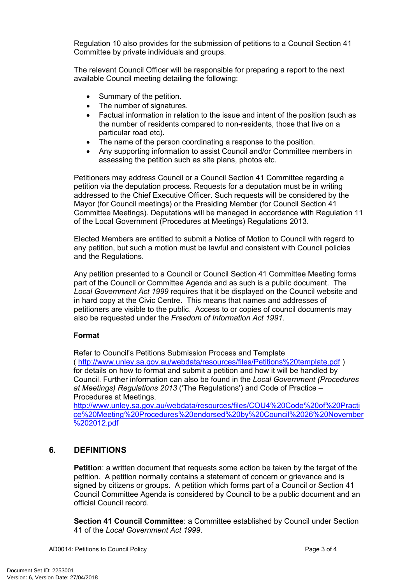Regulation 10 also provides for the submission of petitions to a Council Section 41 Committee by private individuals and groups.

The relevant Council Officer will be responsible for preparing a report to the next available Council meeting detailing the following:

- Summary of the petition.
- The number of signatures.
- Factual information in relation to the issue and intent of the position (such as the number of residents compared to non-residents, those that live on a particular road etc).
- The name of the person coordinating a response to the position.
- Any supporting information to assist Council and/or Committee members in assessing the petition such as site plans, photos etc.

Petitioners may address Council or a Council Section 41 Committee regarding a petition via the deputation process. Requests for a deputation must be in writing addressed to the Chief Executive Officer. Such requests will be considered by the Mayor (for Council meetings) or the Presiding Member (for Council Section 41 Committee Meetings). Deputations will be managed in accordance with Regulation 11 of the Local Government (Procedures at Meetings) Regulations 2013.

Elected Members are entitled to submit a Notice of Motion to Council with regard to any petition, but such a motion must be lawful and consistent with Council policies and the Regulations.

Any petition presented to a Council or Council Section 41 Committee Meeting forms part of the Council or Committee Agenda and as such is a public document. The *Local Government Act 1999* requires that it be displayed on the Council website and in hard copy at the Civic Centre. This means that names and addresses of petitioners are visible to the public. Access to or copies of council documents may also be requested under the *Freedom of Information Act 1991*.

### **Format**

Refer to Council's Petitions Submission Process and Template

( <http://www.unley.sa.gov.au/webdata/resources/files/Petitions%20template.pdf> ) for details on how to format and submit a petition and how it will be handled by Council. Further information can also be found in the *Local Government (Procedures at Meetings) Regulations 2013* ('The Regulations') and Code of Practice – Procedures at Meetings.

[http://www.unley.sa.gov.au/webdata/resources/files/COU4%20Code%20of%20Practi](http://www.unley.sa.gov.au/webdata/resources/files/COU4%20Code%20of%20Practice%20Meeting%20Procedures%20endorsed%20by%20Council%2026%20November%202012.pdf) [ce%20Meeting%20Procedures%20endorsed%20by%20Council%2026%20November](http://www.unley.sa.gov.au/webdata/resources/files/COU4%20Code%20of%20Practice%20Meeting%20Procedures%20endorsed%20by%20Council%2026%20November%202012.pdf) [%202012.pdf](http://www.unley.sa.gov.au/webdata/resources/files/COU4%20Code%20of%20Practice%20Meeting%20Procedures%20endorsed%20by%20Council%2026%20November%202012.pdf)

### **6. DEFINITIONS**

**Petition**: a written document that requests some action be taken by the target of the petition. A petition normally contains a statement of concern or grievance and is signed by citizens or groups. A petition which forms part of a Council or Section 41 Council Committee Agenda is considered by Council to be a public document and an official Council record.

**Section 41 Council Committee**: a Committee established by Council under Section 41 of the *Local Government Act 1999*.

AD0014: Petitions to Council Policy **Page 3 of 4** and 2 of 4